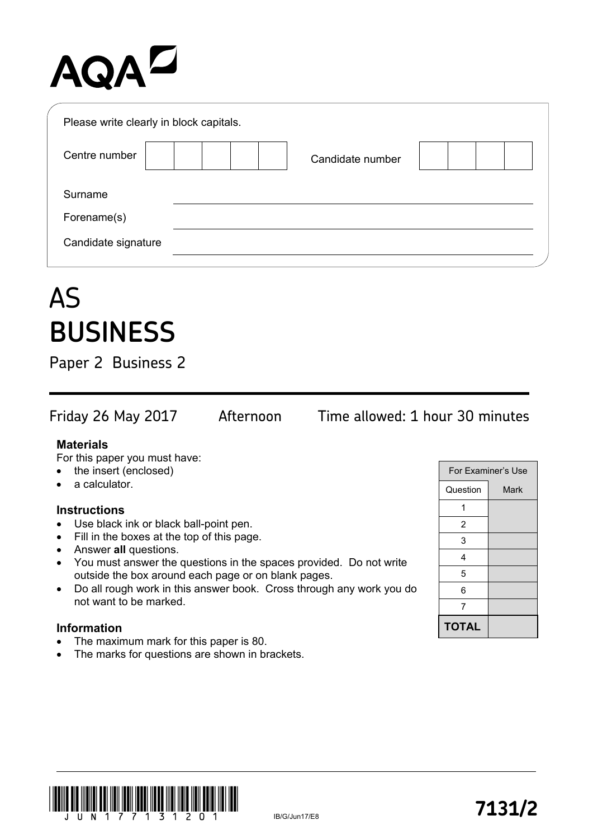## AQAD

| Please write clearly in block capitals. |                  |  |
|-----------------------------------------|------------------|--|
| Centre number                           | Candidate number |  |
| Surname                                 |                  |  |
| Forename(s)                             |                  |  |
| Candidate signature                     |                  |  |
|                                         |                  |  |

### AS **BUSINESS**

Paper 2 Business 2

Friday 26 May 2017 Afternoon Time allowed: 1 hour 30 minutes

#### **Materials**

For this paper you must have:

- the insert (enclosed)
- a calculator.

#### **Instructions**

- Use black ink or black ball-point pen.
- Fill in the boxes at the top of this page.
- Answer **all** questions.
- You must answer the questions in the spaces provided. Do not write outside the box around each page or on blank pages.
- Do all rough work in this answer book. Cross through any work you do not want to be marked.

#### **Information**

- The maximum mark for this paper is 80.
- The marks for questions are shown in brackets.

|              | For Examiner's Use |
|--------------|--------------------|
| Question     | Mark               |
|              |                    |
| 2            |                    |
| 3            |                    |
| 4            |                    |
| 5            |                    |
| 6            |                    |
| 7            |                    |
| <b>TOTAL</b> |                    |

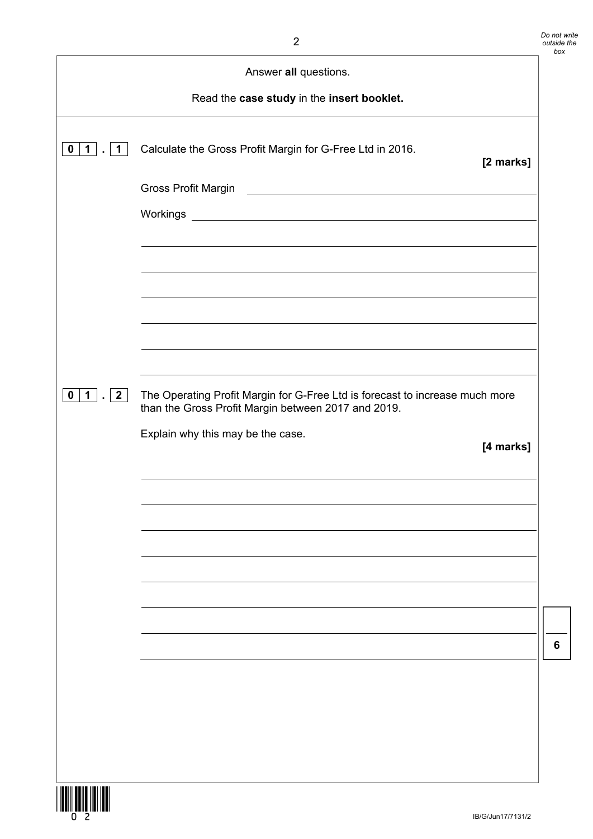| Answer all questions.                                     |                                                                                                                                     |  |
|-----------------------------------------------------------|-------------------------------------------------------------------------------------------------------------------------------------|--|
|                                                           | Read the case study in the insert booklet.                                                                                          |  |
| $0 \mid 1 \mid$ .<br>$\mathbf 1$                          | Calculate the Gross Profit Margin for G-Free Ltd in 2016.<br>[2 marks]                                                              |  |
|                                                           | Gross Profit Margin<br><u> 1980 - Andrea State Barbara, amerikan personal (h. 1980).</u>                                            |  |
|                                                           |                                                                                                                                     |  |
|                                                           |                                                                                                                                     |  |
|                                                           |                                                                                                                                     |  |
|                                                           |                                                                                                                                     |  |
|                                                           |                                                                                                                                     |  |
|                                                           |                                                                                                                                     |  |
| $\mathbf{0}$<br>$\mathbf{1}$<br>$\vert 2 \vert$<br>$\sim$ | The Operating Profit Margin for G-Free Ltd is forecast to increase much more<br>than the Gross Profit Margin between 2017 and 2019. |  |
|                                                           | Explain why this may be the case.<br>[4 marks]                                                                                      |  |
|                                                           |                                                                                                                                     |  |
|                                                           |                                                                                                                                     |  |
|                                                           |                                                                                                                                     |  |
|                                                           |                                                                                                                                     |  |
|                                                           |                                                                                                                                     |  |
|                                                           |                                                                                                                                     |  |
|                                                           |                                                                                                                                     |  |
|                                                           |                                                                                                                                     |  |
|                                                           |                                                                                                                                     |  |
|                                                           |                                                                                                                                     |  |
| <b>THEFT EXISTENT</b>                                     |                                                                                                                                     |  |

**6**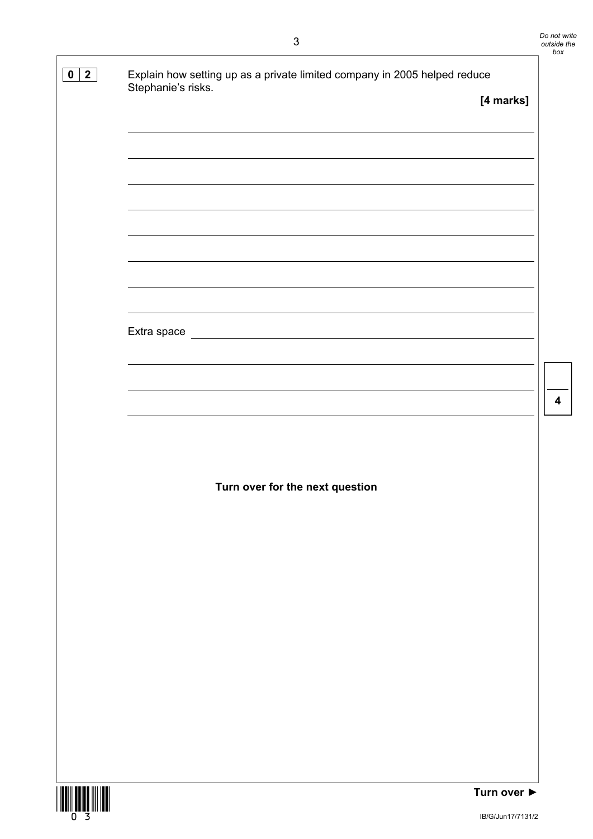**4** 

| $\overline{\mathbf{2}}$<br>$\mathbf 0$ | Explain how setting up as a private limited company in 2005 helped reduce<br>Stephanie's risks. |             |
|----------------------------------------|-------------------------------------------------------------------------------------------------|-------------|
|                                        |                                                                                                 | [4 marks]   |
|                                        |                                                                                                 |             |
|                                        |                                                                                                 |             |
|                                        |                                                                                                 |             |
|                                        |                                                                                                 |             |
|                                        |                                                                                                 |             |
|                                        |                                                                                                 |             |
|                                        |                                                                                                 |             |
|                                        |                                                                                                 |             |
|                                        |                                                                                                 |             |
|                                        |                                                                                                 |             |
|                                        |                                                                                                 |             |
|                                        |                                                                                                 |             |
|                                        |                                                                                                 |             |
|                                        |                                                                                                 |             |
|                                        |                                                                                                 |             |
|                                        |                                                                                                 |             |
|                                        | Turn over for the next question                                                                 |             |
|                                        |                                                                                                 |             |
|                                        |                                                                                                 |             |
|                                        |                                                                                                 |             |
|                                        |                                                                                                 |             |
|                                        |                                                                                                 |             |
|                                        |                                                                                                 |             |
|                                        |                                                                                                 |             |
|                                        |                                                                                                 |             |
|                                        |                                                                                                 |             |
|                                        |                                                                                                 |             |
|                                        |                                                                                                 |             |
|                                        |                                                                                                 |             |
|                                        |                                                                                                 |             |
|                                        |                                                                                                 |             |
| <b>THE THE SECOND SERVICE IN</b>       |                                                                                                 | Turn over ▶ |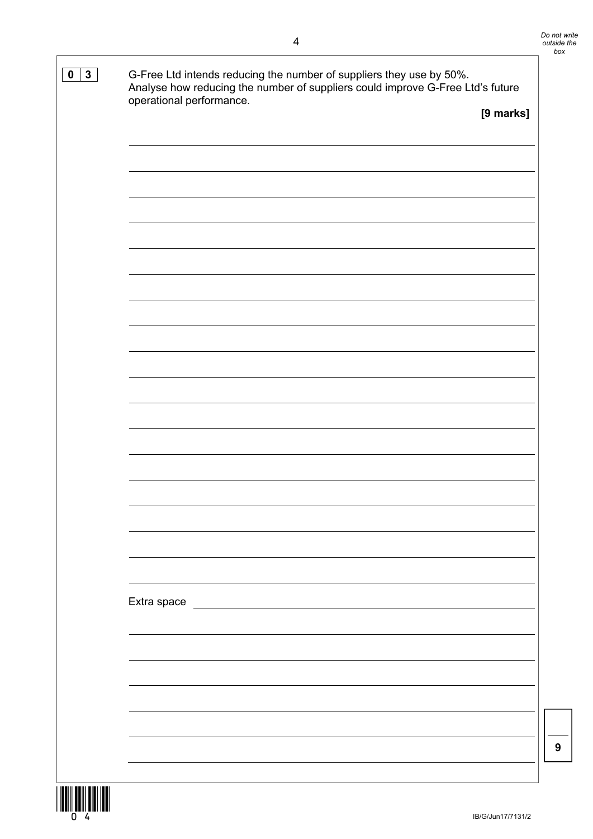| operational performance.                                                                                                            | [9 marks] |
|-------------------------------------------------------------------------------------------------------------------------------------|-----------|
|                                                                                                                                     |           |
|                                                                                                                                     |           |
|                                                                                                                                     |           |
|                                                                                                                                     |           |
|                                                                                                                                     |           |
|                                                                                                                                     |           |
|                                                                                                                                     |           |
|                                                                                                                                     |           |
|                                                                                                                                     |           |
|                                                                                                                                     |           |
|                                                                                                                                     |           |
|                                                                                                                                     |           |
|                                                                                                                                     |           |
|                                                                                                                                     |           |
|                                                                                                                                     |           |
|                                                                                                                                     |           |
|                                                                                                                                     |           |
|                                                                                                                                     |           |
|                                                                                                                                     |           |
|                                                                                                                                     |           |
|                                                                                                                                     |           |
|                                                                                                                                     |           |
|                                                                                                                                     |           |
|                                                                                                                                     |           |
|                                                                                                                                     |           |
|                                                                                                                                     |           |
|                                                                                                                                     |           |
|                                                                                                                                     |           |
| Extra space<br><u> 1980 - Jan Stein Stein Stein Stein Stein Stein Stein Stein Stein Stein Stein Stein Stein Stein Stein Stein S</u> |           |
|                                                                                                                                     |           |
|                                                                                                                                     |           |
|                                                                                                                                     |           |
|                                                                                                                                     |           |
|                                                                                                                                     |           |
|                                                                                                                                     |           |
|                                                                                                                                     |           |
|                                                                                                                                     |           |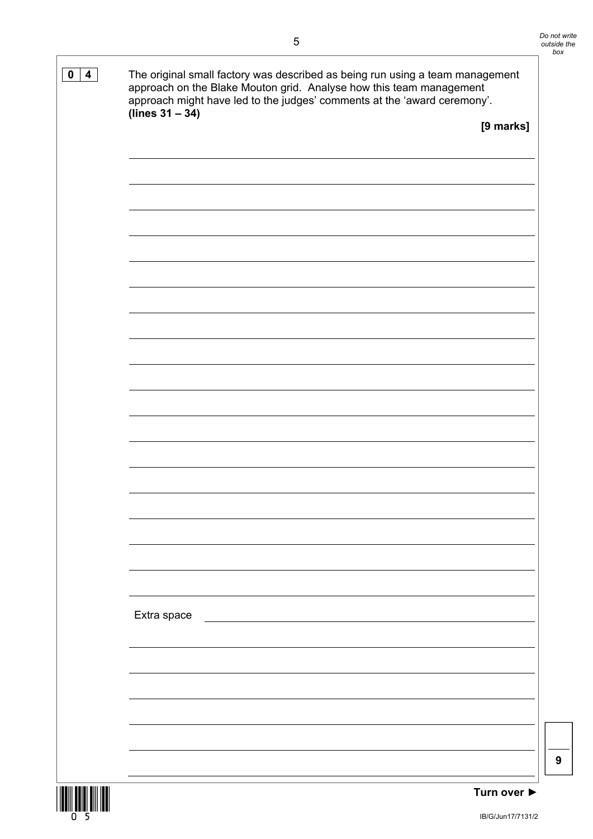# **0 4** The original small factory was described as being run using a team management approach on the Blake Mouton grid. Analyse how this team management approach might have led to the judges' comments at the 'award ceremony'. **(lines 31 – 34) [9 marks]** Extra space **9**





IB/G/Jun17/7131/2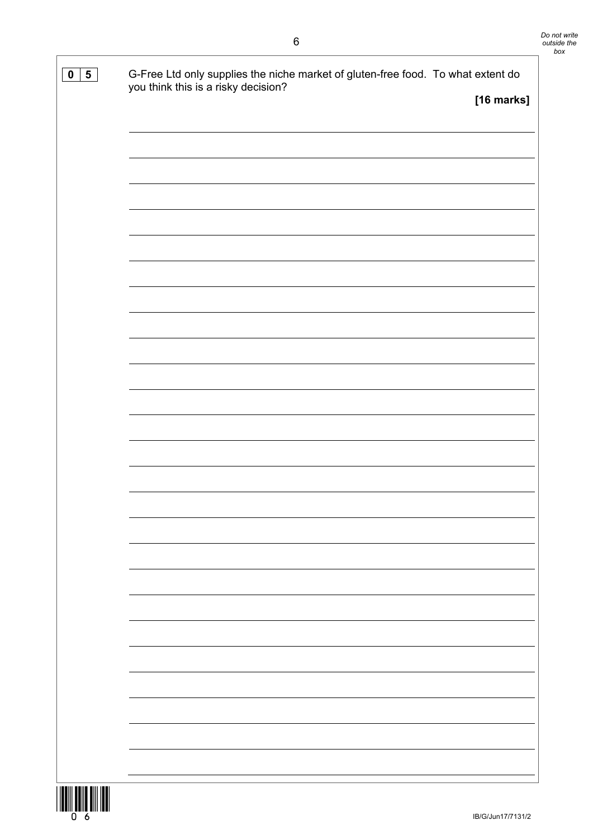| $\overline{\mathbf{5}}$<br>$\mathbf 0$ | G-Free Ltd only supplies the niche market of gluten-free food. To what extent do<br>you think this is a risky decision?<br>[16 marks] |
|----------------------------------------|---------------------------------------------------------------------------------------------------------------------------------------|
|                                        |                                                                                                                                       |
|                                        |                                                                                                                                       |
|                                        |                                                                                                                                       |
|                                        |                                                                                                                                       |
|                                        |                                                                                                                                       |
|                                        |                                                                                                                                       |
|                                        |                                                                                                                                       |
|                                        |                                                                                                                                       |
|                                        |                                                                                                                                       |
|                                        |                                                                                                                                       |
|                                        |                                                                                                                                       |
|                                        |                                                                                                                                       |
|                                        |                                                                                                                                       |
|                                        |                                                                                                                                       |
|                                        |                                                                                                                                       |
|                                        |                                                                                                                                       |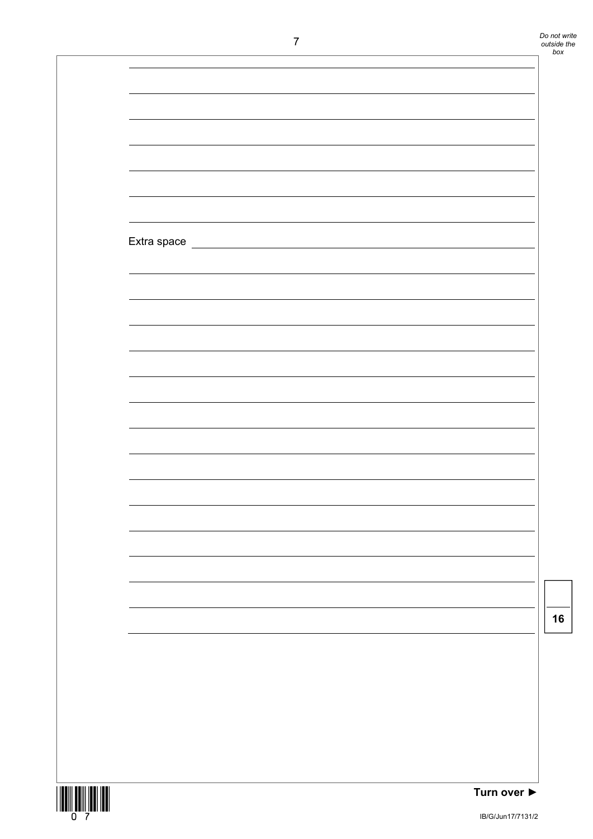*Do not write outside the box* 

| $\mathbf{I}$ |                                 | outside<br>box |
|--------------|---------------------------------|----------------|
|              |                                 |                |
|              |                                 |                |
|              |                                 |                |
|              |                                 |                |
|              |                                 |                |
|              |                                 |                |
|              |                                 |                |
|              |                                 |                |
|              |                                 |                |
|              |                                 |                |
|              |                                 |                |
|              |                                 |                |
|              |                                 |                |
|              |                                 |                |
|              |                                 |                |
|              |                                 |                |
|              |                                 |                |
|              |                                 |                |
|              |                                 |                |
|              |                                 |                |
|              |                                 |                |
|              |                                 |                |
|              |                                 |                |
|              |                                 |                |
|              |                                 |                |
|              |                                 |                |
|              |                                 |                |
|              |                                 |                |
|              |                                 |                |
|              |                                 |                |
|              |                                 | 16             |
|              |                                 |                |
|              |                                 |                |
|              |                                 |                |
|              |                                 |                |
|              |                                 |                |
|              |                                 |                |
|              |                                 |                |
|              |                                 |                |
|              | Turn over $\blacktriangleright$ |                |

**THE CONSULTANT** 

**Turn over ►**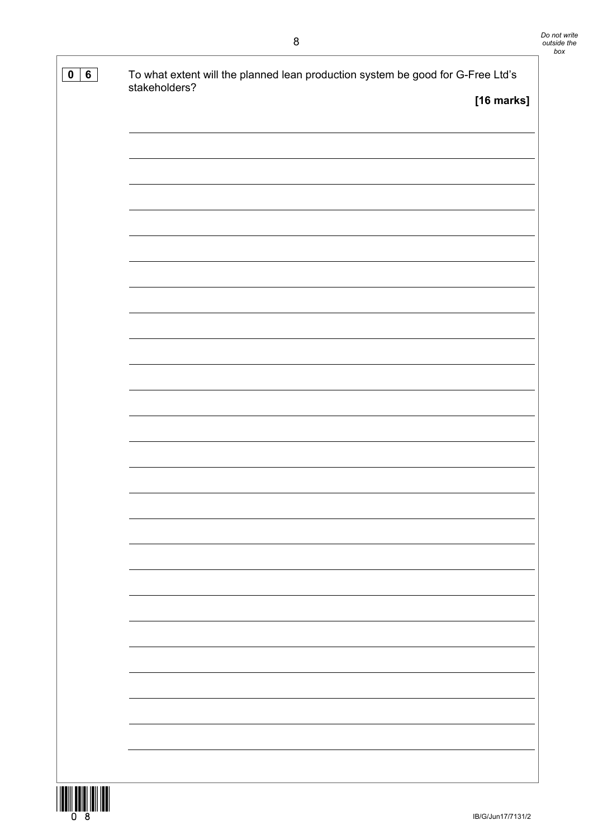| $6\phantom{1}$<br>$\mathbf 0$ | To what extent will the planned lean production system be good for G-Free Ltd's<br>stakeholders? |            |
|-------------------------------|--------------------------------------------------------------------------------------------------|------------|
|                               |                                                                                                  | [16 marks] |
|                               |                                                                                                  |            |
|                               |                                                                                                  |            |
|                               |                                                                                                  |            |
|                               |                                                                                                  |            |
|                               |                                                                                                  |            |
|                               |                                                                                                  |            |
|                               |                                                                                                  |            |
|                               |                                                                                                  |            |
|                               |                                                                                                  |            |
|                               |                                                                                                  |            |
|                               |                                                                                                  |            |
|                               |                                                                                                  |            |
|                               |                                                                                                  |            |
|                               |                                                                                                  |            |
|                               |                                                                                                  |            |
|                               |                                                                                                  |            |
|                               |                                                                                                  |            |
|                               |                                                                                                  |            |
|                               |                                                                                                  |            |
|                               |                                                                                                  |            |
|                               |                                                                                                  |            |
|                               |                                                                                                  |            |
|                               |                                                                                                  |            |
|                               |                                                                                                  |            |

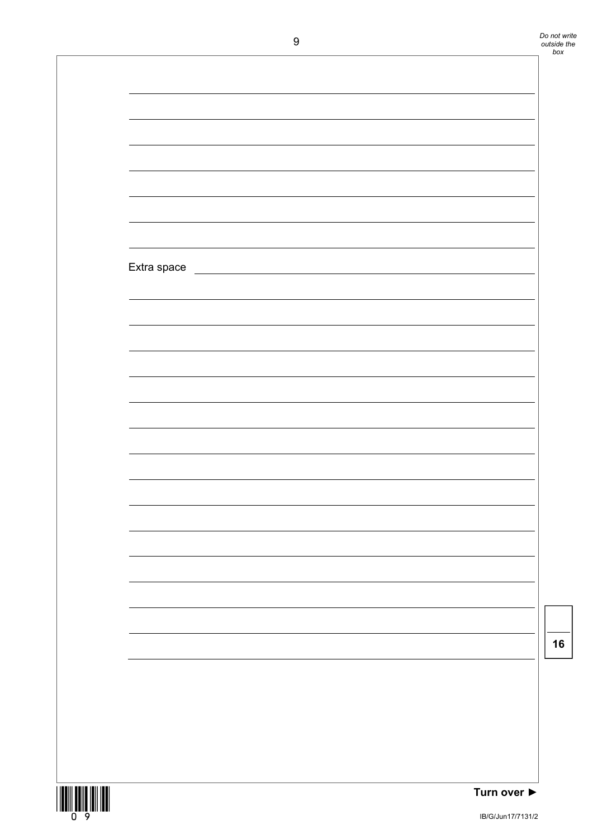|                       | ◡           |                                                               | outsiae<br>box |
|-----------------------|-------------|---------------------------------------------------------------|----------------|
|                       |             |                                                               |                |
|                       |             |                                                               |                |
|                       |             |                                                               |                |
|                       |             |                                                               |                |
|                       |             |                                                               |                |
|                       |             |                                                               |                |
|                       |             |                                                               |                |
|                       |             |                                                               |                |
|                       |             |                                                               |                |
|                       |             |                                                               |                |
|                       |             |                                                               |                |
|                       | Extra space | <u> 1989 - Johann Stein, mars an deutscher Stein († 1958)</u> |                |
|                       |             |                                                               |                |
|                       |             |                                                               |                |
|                       |             |                                                               |                |
|                       |             |                                                               |                |
|                       |             |                                                               |                |
|                       |             |                                                               |                |
|                       |             |                                                               |                |
|                       |             |                                                               |                |
|                       |             |                                                               |                |
|                       |             |                                                               |                |
|                       |             |                                                               |                |
|                       |             |                                                               |                |
|                       |             |                                                               |                |
|                       |             |                                                               |                |
|                       |             |                                                               |                |
|                       |             |                                                               |                |
|                       |             |                                                               |                |
|                       |             |                                                               |                |
|                       |             |                                                               |                |
|                       |             |                                                               |                |
|                       |             |                                                               |                |
|                       |             |                                                               |                |
|                       |             |                                                               |                |
|                       |             |                                                               |                |
|                       |             |                                                               |                |
|                       |             |                                                               |                |
|                       |             |                                                               |                |
| THIII HUILE ITII ITTI |             | Turn over $\blacktriangleright$                               |                |

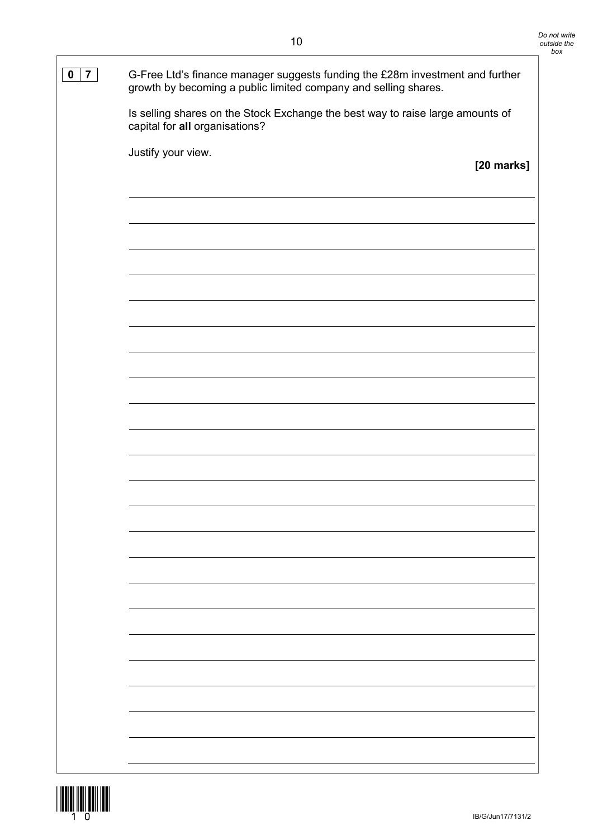| $\overline{7}$<br>$\mathbf 0$ | G-Free Ltd's finance manager suggests funding the £28m investment and further<br>growth by becoming a public limited company and selling shares. |            |
|-------------------------------|--------------------------------------------------------------------------------------------------------------------------------------------------|------------|
|                               | Is selling shares on the Stock Exchange the best way to raise large amounts of<br>capital for all organisations?                                 |            |
|                               | Justify your view.                                                                                                                               |            |
|                               |                                                                                                                                                  | [20 marks] |
|                               |                                                                                                                                                  |            |
|                               |                                                                                                                                                  |            |
|                               |                                                                                                                                                  |            |
|                               |                                                                                                                                                  |            |
|                               |                                                                                                                                                  |            |
|                               |                                                                                                                                                  |            |
|                               |                                                                                                                                                  |            |
|                               |                                                                                                                                                  |            |
|                               |                                                                                                                                                  |            |
|                               |                                                                                                                                                  |            |
|                               |                                                                                                                                                  |            |
|                               |                                                                                                                                                  |            |
|                               |                                                                                                                                                  |            |
|                               |                                                                                                                                                  |            |
|                               |                                                                                                                                                  |            |
|                               |                                                                                                                                                  |            |
|                               |                                                                                                                                                  |            |
|                               |                                                                                                                                                  |            |
|                               |                                                                                                                                                  |            |
|                               |                                                                                                                                                  |            |
|                               |                                                                                                                                                  |            |
|                               |                                                                                                                                                  |            |
|                               |                                                                                                                                                  |            |
|                               |                                                                                                                                                  |            |
|                               |                                                                                                                                                  |            |
|                               |                                                                                                                                                  |            |
|                               |                                                                                                                                                  |            |
|                               |                                                                                                                                                  |            |
|                               |                                                                                                                                                  |            |
|                               |                                                                                                                                                  |            |

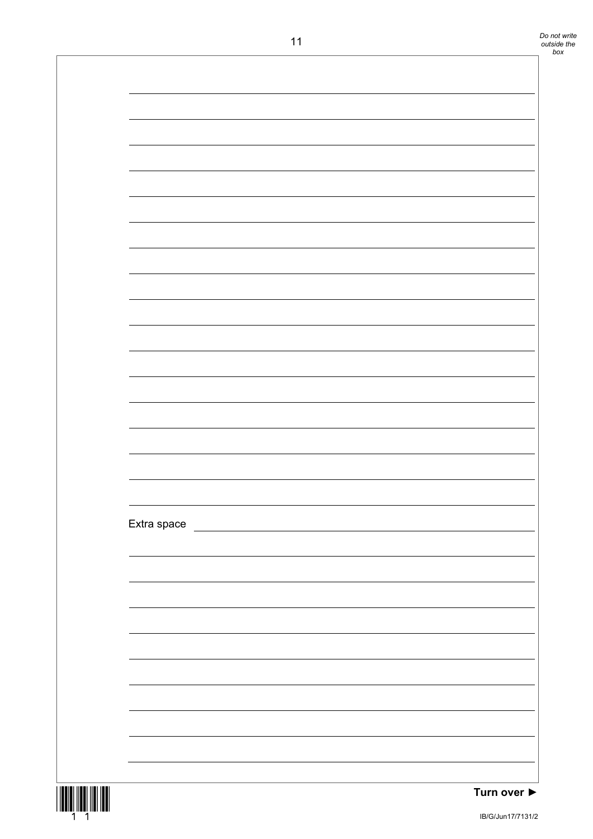| Extra space | $11$ |  |
|-------------|------|--|
|             |      |  |
|             |      |  |
|             |      |  |
|             |      |  |
|             |      |  |
|             |      |  |
|             |      |  |
|             |      |  |
|             |      |  |
|             |      |  |
|             |      |  |
|             |      |  |
|             |      |  |
|             |      |  |
|             |      |  |
|             |      |  |
|             |      |  |
|             |      |  |
|             |      |  |
|             |      |  |
|             |      |  |
|             |      |  |
|             |      |  |
|             |      |  |
|             |      |  |
|             |      |  |
|             |      |  |
|             |      |  |
|             |      |  |
|             |      |  |
|             |      |  |
|             |      |  |